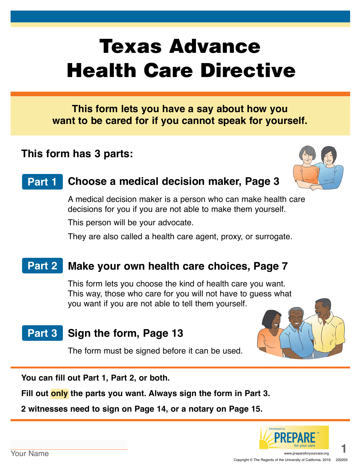# Texas Advance Health Care Directive

**This form lets you have a say about how you want to be cared for if you cannot speak for yourself.**

# **This form has 3 parts:**



#### **Choose a medical decision maker, Page 3 Part 1**

A medical decision maker is a person who can make health care decisions for you if you are not able to make them yourself.

This person will be your advocate.

They are also called a health care agent, proxy, or surrogate.

#### **Make your own health care choices, Page 7 Part 2**

This form lets you choose the kind of health care you want. This way, those who care for you will not have to guess what you want if you are not able to tell them yourself.

#### **Sign the form, Page 13 Part 3**

The form must be signed before it can be used.



**You can fill out Part 1, Part 2, or both.** 

**Fill out only the parts you want. Always sign the form in Part 3.**

**2 witnesses need to sign on Page 14, or a notary on Page 15.**

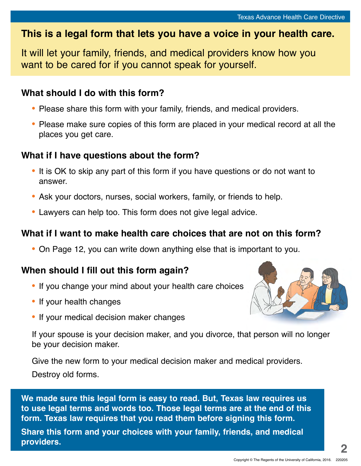# **This is a legal form that lets you have a voice in your health care.**

It will let your family, friends, and medical providers know how you want to be cared for if you cannot speak for yourself.

# **What should I do with this form?**

- **•** Please share this form with your family, friends, and medical providers.
- **•** Please make sure copies of this form are placed in your medical record at all the places you get care.

# **What if I have questions about the form?**

- **•** It is OK to skip any part of this form if you have questions or do not want to answer.
- **•** Ask your doctors, nurses, social workers, family, or friends to help.
- **•** Lawyers can help too. This form does not give legal advice.

# **What if I want to make health care choices that are not on this form?**

**•** On Page 12, you can write down anything else that is important to you.

# **When should I fill out this form again?**

- **•** If you change your mind about your health care choices
- **•** If your health changes
- **•** If your medical decision maker changes

If your spouse is your decision maker, and you divorce, that person will no longer be your decision maker.

Give the new form to your medical decision maker and medical providers. Destroy old forms.

**We made sure this legal form is easy to read. But, Texas law requires us to use legal terms and words too. Those legal terms are at the end of this form. Texas law requires that you read them before signing this form.** 

**Share this form and your choices with your family, friends, and medical providers.**

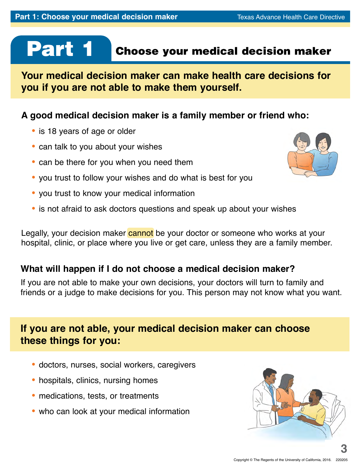# Part 1

# Choose your medical decision maker

**Your medical decision maker can make health care decisions for you if you are not able to make them yourself.**

# **A good medical decision maker is a family member or friend who:**

- **•** is 18 years of age or older
- **•** can talk to you about your wishes
- **•** can be there for you when you need them
- **•** you trust to follow your wishes and do what is best for you
- **•** you trust to know your medical information
- **•** is not afraid to ask doctors questions and speak up about your wishes

Legally, your decision maker cannot be your doctor or someone who works at your hospital, clinic, or place where you live or get care, unless they are a family member.

# **What will happen if I do not choose a medical decision maker?**

If you are not able to make your own decisions, your doctors will turn to family and friends or a judge to make decisions for you. This person may not know what you want.

# **If you are not able, your medical decision maker can choose these things for you:**

- **•** doctors, nurses, social workers, caregivers
- **•** hospitals, clinics, nursing homes
- **•** medications, tests, or treatments
- who can look at your medical information



**3**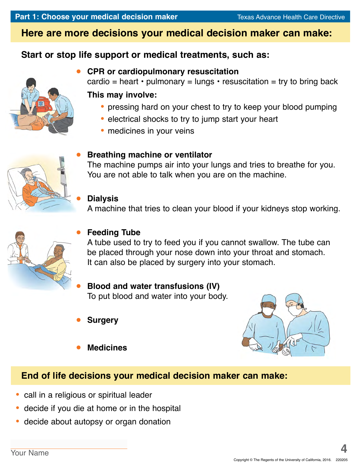## **Here are more decisions your medical decision maker can make:**

### **Start or stop life support or medical treatments, such as:**



#### **CPR or cardiopulmonary resuscitation**

cardio = heart  $\cdot$  pulmonary = lungs  $\cdot$  resuscitation = try to bring back

#### **This may involve:**

- **•** pressing hard on your chest to try to keep your blood pumping
- **•** electrical shocks to try to jump start your heart
- **•** medicines in your veins



#### **Breathing machine or ventilator**

The machine pumps air into your lungs and tries to breathe for you. You are not able to talk when you are on the machine.

#### **Dialysis**

A machine that tries to clean your blood if your kidneys stop working.



#### **Feeding Tube**

A tube used to try to feed you if you cannot swallow. The tube can be placed through your nose down into your throat and stomach. It can also be placed by surgery into your stomach.

#### **Blood and water transfusions (IV)** To put blood and water into your body.

**Surgery**



**Medicines**

# **End of life decisions your medical decision maker can make:**

- **•** call in a religious or spiritual leader
- **•** decide if you die at home or in the hospital
- **•** decide about autopsy or organ donation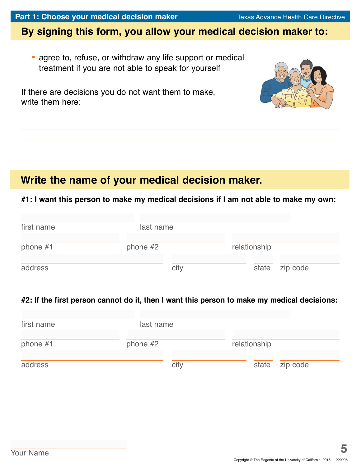# **By signing this form, you allow your medical decision maker to:**

**•** agree to, refuse, or withdraw any life support or medical treatment if you are not able to speak for yourself

If there are decisions you do not want them to make, write them here:

# **Write the name of your medical decision maker.**

#### **#1: I want this person to make my medical decisions if I am not able to make my own:**

| first name | last name  |      |              |                |
|------------|------------|------|--------------|----------------|
| phone $#1$ | phone $#2$ |      | relationship |                |
| address    |            | city |              | state zip code |

#### **#2: If the first person cannot do it, then I want this person to make my medical decisions:**

| first name | last name  |              |          |
|------------|------------|--------------|----------|
| phone $#1$ | phone $#2$ | relationship |          |
| address    | city       | state        | zip code |

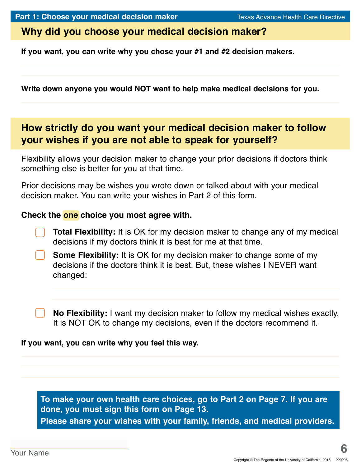# **Why did you choose your medical decision maker?**

**If you want, you can write why you chose your #1 and #2 decision makers.** 

**Write down anyone you would NOT want to help make medical decisions for you.**

# **How strictly do you want your medical decision maker to follow your wishes if you are not able to speak for yourself?**

Flexibility allows your decision maker to change your prior decisions if doctors think something else is better for you at that time.

Prior decisions may be wishes you wrote down or talked about with your medical decision maker. You can write your wishes in Part 2 of this form.

#### **Check the one choice you most agree with.**

**Total Flexibility:** It is OK for my decision maker to change any of my medical decisions if my doctors think it is best for me at that time.

**Some Flexibility:** It is OK for my decision maker to change some of my decisions if the doctors think it is best. But, these wishes I NEVER want changed:

**No Flexibility:** I want my decision maker to follow my medical wishes exactly. It is NOT OK to change my decisions, even if the doctors recommend it.

#### **If you want, you can write why you feel this way.**

**To make your own health care choices, go to Part 2 on Page 7. If you are done, you must sign this form on Page 13. Please share your wishes with your family, friends, and medical providers.**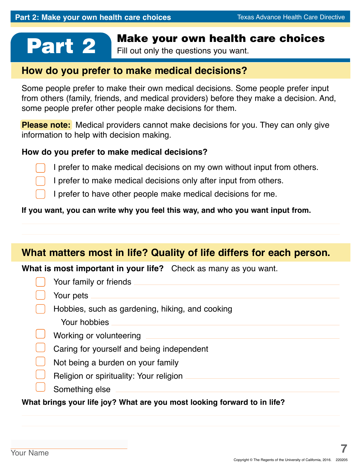# **Part 2** Make your own health care choices

Fill out only the questions you want.

# **How do you prefer to make medical decisions?**

Some people prefer to make their own medical decisions. Some people prefer input from others (family, friends, and medical providers) before they make a decision. And, some people prefer other people make decisions for them.

**Please note:** Medical providers cannot make decisions for you. They can only give information to help with decision making.

#### **How do you prefer to make medical decisions?**

I prefer to make medical decisions on my own without input from others.

I prefer to make medical decisions only after input from others.

I prefer to have other people make medical decisions for me.

#### **If you want, you can write why you feel this way, and who you want input from.**

# **What matters most in life? Quality of life differs for each person.**

**What is most important in your life?** Check as many as you want.

| Your family or friends                          |
|-------------------------------------------------|
| Your pets                                       |
| Hobbies, such as gardening, hiking, and cooking |
| Your hobbies                                    |
| Working or volunteering                         |
| Caring for yourself and being independent       |
| Not being a burden on your family               |
| Religion or spirituality: Your religion         |
| Something else                                  |

**What brings your life joy? What are you most looking forward to in life?**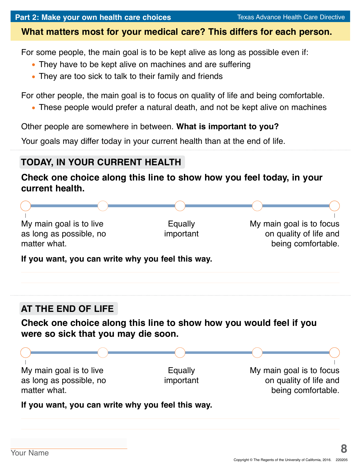### **What matters most for your medical care? This differs for each person.**

For some people, the main goal is to be kept alive as long as possible even if:

- **•** They have to be kept alive on machines and are suffering
- **•** They are too sick to talk to their family and friends

For other people, the main goal is to focus on quality of life and being comfortable.

**•** These people would prefer a natural death, and not be kept alive on machines

Other people are somewhere in between. **What is important to you?**

Your goals may differ today in your current health than at the end of life.

# **TODAY, IN YOUR CURRENT HEALTH**

## **Check one choice along this line to show how you feel today, in your current health.**

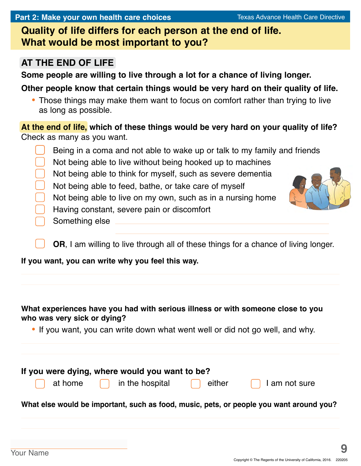**Quality of life differs for each person at the end of life. What would be most important to you?** 

# **AT THE END OF LIFE**

**Some people are willing to live through a lot for a chance of living longer.** 

**Other people know that certain things would be very hard on their quality of life.**

**•** Those things may make them want to focus on comfort rather than trying to live as long as possible.

**At the end of life, which of these things would be very hard on your quality of life?**  Check as many as you want.

Being in a coma and not able to wake up or talk to my family and friends Not being able to live without being hooked up to machines Not being able to think for myself, such as severe dementia Not being able to feed, bathe, or take care of myself Not being able to live on my own, such as in a nursing home Having constant, severe pain or discomfort Something else

**OR**, I am willing to live through all of these things for a chance of living longer.

**If you want, you can write why you feel this way.**

#### **What experiences have you had with serious illness or with someone close to you who was very sick or dying?**

**•** If you want, you can write down what went well or did not go well, and why.

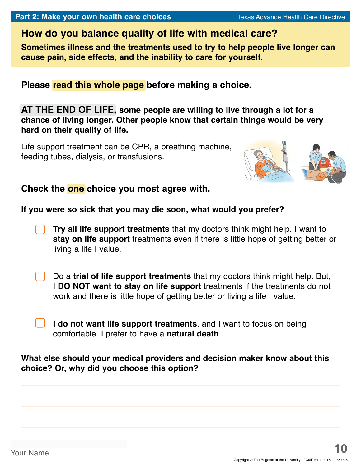# **How do you balance quality of life with medical care?**

**Sometimes illness and the treatments used to try to help people live longer can cause pain, side effects, and the inability to care for yourself.**

**Please read this whole page before making a choice.**

**AT THE END OF LIFE, some people are willing to live through a lot for a chance of living longer. Other people know that certain things would be very hard on their quality of life.**

Life support treatment can be CPR, a breathing machine, feeding tubes, dialysis, or transfusions.



#### **Check the one choice you most agree with.**

#### **If you were so sick that you may die soon, what would you prefer?**

- **Try all life support treatments** that my doctors think might help. I want to **stay on life support** treatments even if there is little hope of getting better or living a life I value.
- Do a **trial of life support treatments** that my doctors think might help. But, I **DO NOT want to stay on life support** treatments if the treatments do not work and there is little hope of getting better or living a life I value.
	- **I do not want life support treatments**, and I want to focus on being comfortable. I prefer to have a **natural death**.

#### **What else should your medical providers and decision maker know about this choice? Or, why did you choose this option?**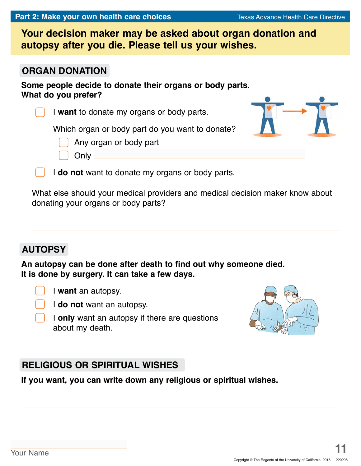**Your decision maker may be asked about organ donation and autopsy after you die. Please tell us your wishes.**

### **ORGAN DONATION**

**Some people decide to donate their organs or body parts. What do you prefer?**

I **want** to donate my organs or body parts.

Which organ or body part do you want to donate?

Any organ or body part

**Only** 

I **do not** want to donate my organs or body parts.

What else should your medical providers and medical decision maker know about donating your organs or body parts?

# **AUTOPSY**

**An autopsy can be done after death to find out why someone died. It is done by surgery. It can take a few days.**

I **want** an autopsy.

I **do not** want an autopsy.

I **only** want an autopsy if there are questions about my death.

# **RELIGIOUS OR SPIRITUAL WISHES**

**If you want, you can write down any religious or spiritual wishes.**



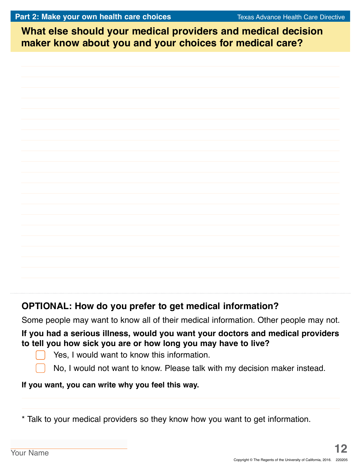**What else should your medical providers and medical decision What else should your medical providers and medical decision maker know about you and your choices for medical care? maker know about you and your choices for medical care?**

# **OPTIONAL: How do you prefer to get medical information?**

Some people may want to know all of their medical information. Other people may not.

#### **If you had a serious illness, would you want your doctors and medical providers to tell you how sick you are or how long you may have to live?**

- Yes, I would want to know this information.
- No, I would not want to know. Please talk with my decision maker instead.

#### **If you want, you can write why you feel this way.**

\* Talk to your medical providers so they know how you want to get information.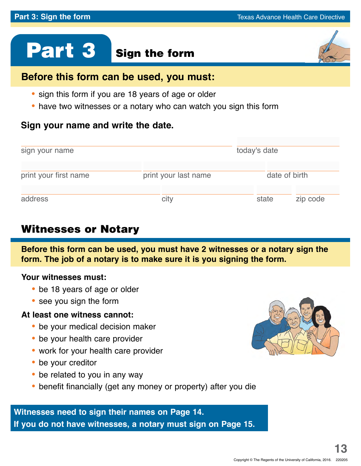# Part 3 Sign the form



- **•** sign this form if you are 18 years of age or older
- **•** have two witnesses or a notary who can watch you sign this form

# **Sign your name and write the date.**

| sign your name        | today's date         |               |          |
|-----------------------|----------------------|---------------|----------|
| print your first name | print your last name | date of birth |          |
| address               | city                 | state         | zip code |

# Witnesses or Notary

**Before this form can be used, you must have 2 witnesses or a notary sign the form. The job of a notary is to make sure it is you signing the form.**

#### **Your witnesses must:**

- **•** be 18 years of age or older
- **•** see you sign the form

#### **At least one witness cannot:**

- **•** be your medical decision maker
- **•** be your health care provider
- **•** work for your health care provider
- **•** be your creditor
- be related to you in any way
- **•** benefit financially (get any money or property) after you die

# **Witnesses need to sign their names on Page 14. If you do not have witnesses, a notary must sign on Page 15.**

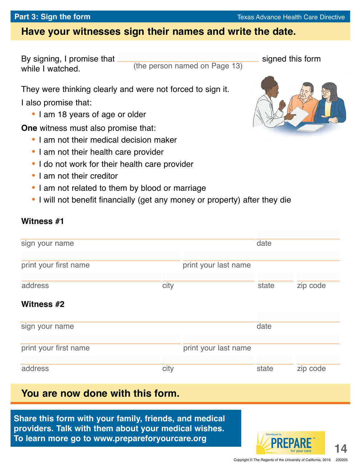Developed by

**TM**

for your care **14** 

# **Have your witnesses sign their names and write the date.**

(the person named on Page 13)

By signing, I promise that signed this form while I watched.

They were thinking clearly and were not forced to sign it.

I also promise that:

**•** I am 18 years of age or older

**One** witness must also promise that:

- **•** I am not their medical decision maker
- **•** I am not their health care provider
- **•** I do not work for their health care provider
- **•** I am not their creditor
- **•** I am not related to them by blood or marriage
- **•** I will not benefit financially (get any money or property) after they die

### **Witness #1**

| sign your name        |      |                      | date  |          |
|-----------------------|------|----------------------|-------|----------|
| print your first name |      | print your last name |       |          |
| address               | city |                      | state | zip code |
| Witness #2            |      |                      |       |          |
| sign your name        |      |                      | date  |          |
| print your first name |      | print your last name |       |          |
| address               | city |                      | state | zip code |

# **You are now done with this form.**

**Share this form with your family, friends, and medical providers. Talk with them about your medical wishes. To learn more go to www.prepareforyourcare.org**



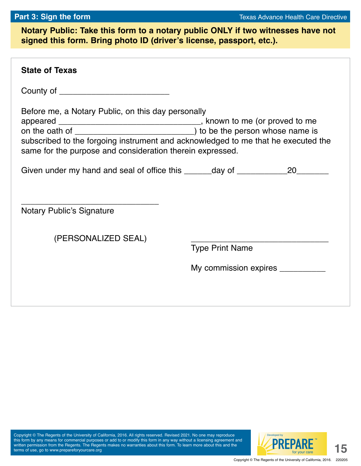**Notary Public: Take this form to a notary public ONLY if two witnesses have not signed this form. Bring photo ID (driver's license, passport, etc.).**

| <b>State of Texas</b>                                                                                                                                                                                |                                                             |  |  |  |
|------------------------------------------------------------------------------------------------------------------------------------------------------------------------------------------------------|-------------------------------------------------------------|--|--|--|
| County of _____________________________                                                                                                                                                              |                                                             |  |  |  |
| Before me, a Notary Public, on this day personally<br>subscribed to the forgoing instrument and acknowledged to me that he executed the<br>same for the purpose and consideration therein expressed. |                                                             |  |  |  |
| Given under my hand and seal of office this _______day of _______________20_______                                                                                                                   |                                                             |  |  |  |
| <b>Notary Public's Signature</b><br>(PERSONALIZED SEAL)                                                                                                                                              |                                                             |  |  |  |
|                                                                                                                                                                                                      | <b>Type Print Name</b><br>My commission expires ___________ |  |  |  |
|                                                                                                                                                                                                      |                                                             |  |  |  |

Copyright © The Regents of the University of California, 2016. All rights reserved. Revised 2021. No one may reproduce this form by any means for commercial purposes or add to or modify this form in any way without a licensing agreement and written permission from the Regents. The Regents makes no warranties about this form. To learn more about this and the terms of use, go to www.prepareforyourcare.org

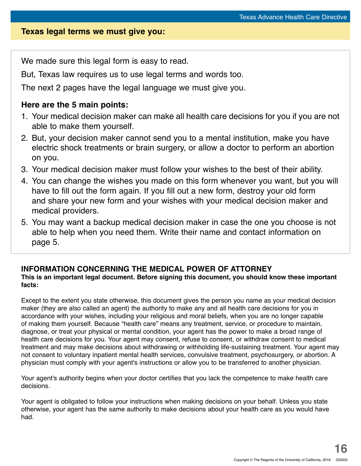#### **Texas legal terms we must give you:**

We made sure this legal form is easy to read.

But, Texas law requires us to use legal terms and words too.

The next 2 pages have the legal language we must give you.

#### **Here are the 5 main points:**

- 1. Your medical decision maker can make all health care decisions for you if you are not able to make them yourself.
- 2. But, your decision maker cannot send you to a mental institution, make you have electric shock treatments or brain surgery, or allow a doctor to perform an abortion on you.
- 3. Your medical decision maker must follow your wishes to the best of their ability.
- 4. You can change the wishes you made on this form whenever you want, but you will have to fill out the form again. If you fill out a new form, destroy your old form and share your new form and your wishes with your medical decision maker and medical providers.
- 5. You may want a backup medical decision maker in case the one you choose is not able to help when you need them. Write their name and contact information on page 5.

#### **INFORMATION CONCERNING THE MEDICAL POWER OF ATTORNEY This is an important legal document. Before signing this document, you should know these important facts:**

Except to the extent you state otherwise, this document gives the person you name as your medical decision maker (they are also called an agent) the authority to make any and all health care decisions for you in accordance with your wishes, including your religious and moral beliefs, when you are no longer capable of making them yourself. Because "health care" means any treatment, service, or procedure to maintain, diagnose, or treat your physical or mental condition, your agent has the power to make a broad range of health care decisions for you. Your agent may consent, refuse to consent, or withdraw consent to medical treatment and may make decisions about withdrawing or withholding life-sustaining treatment. Your agent may not consent to voluntary inpatient mental health services, convulsive treatment, psychosurgery, or abortion. A physician must comply with your agent's instructions or allow you to be transferred to another physician.

Your agent's authority begins when your doctor certifies that you lack the competence to make health care decisions.

Your agent is obligated to follow your instructions when making decisions on your behalf. Unless you state otherwise, your agent has the same authority to make decisions about your health care as you would have had.